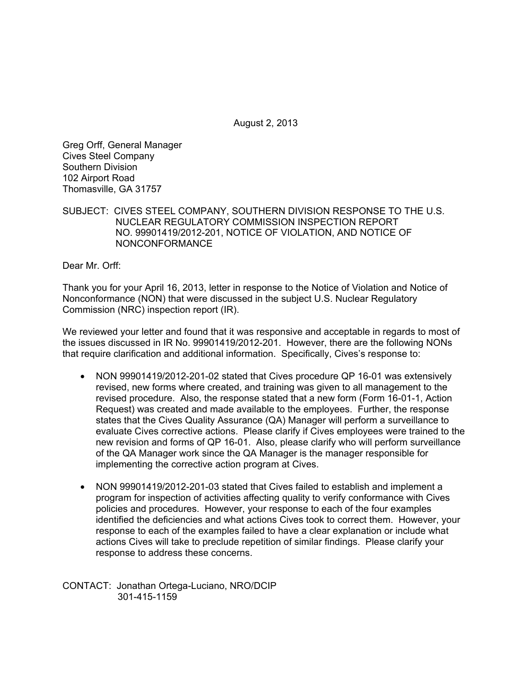August 2, 2013

Greg Orff, General Manager Cives Steel Company Southern Division 102 Airport Road Thomasville, GA 31757

SUBJECT: CIVES STEEL COMPANY, SOUTHERN DIVISION RESPONSE TO THE U.S. NUCLEAR REGULATORY COMMISSION INSPECTION REPORT NO. 99901419/2012-201, NOTICE OF VIOLATION, AND NOTICE OF NONCONFORMANCE

Dear Mr. Orff:

Thank you for your April 16, 2013, letter in response to the Notice of Violation and Notice of Nonconformance (NON) that were discussed in the subject U.S. Nuclear Regulatory Commission (NRC) inspection report (IR).

We reviewed your letter and found that it was responsive and acceptable in regards to most of the issues discussed in IR No. 99901419/2012-201. However, there are the following NONs that require clarification and additional information. Specifically, Cives's response to:

- NON 99901419/2012-201-02 stated that Cives procedure QP 16-01 was extensively revised, new forms where created, and training was given to all management to the revised procedure. Also, the response stated that a new form (Form 16-01-1, Action Request) was created and made available to the employees. Further, the response states that the Cives Quality Assurance (QA) Manager will perform a surveillance to evaluate Cives corrective actions. Please clarify if Cives employees were trained to the new revision and forms of QP 16-01. Also, please clarify who will perform surveillance of the QA Manager work since the QA Manager is the manager responsible for implementing the corrective action program at Cives.
- NON 99901419/2012-201-03 stated that Cives failed to establish and implement a program for inspection of activities affecting quality to verify conformance with Cives policies and procedures. However, your response to each of the four examples identified the deficiencies and what actions Cives took to correct them. However, your response to each of the examples failed to have a clear explanation or include what actions Cives will take to preclude repetition of similar findings. Please clarify your response to address these concerns.

CONTACT: Jonathan Ortega-Luciano, NRO/DCIP 301-415-1159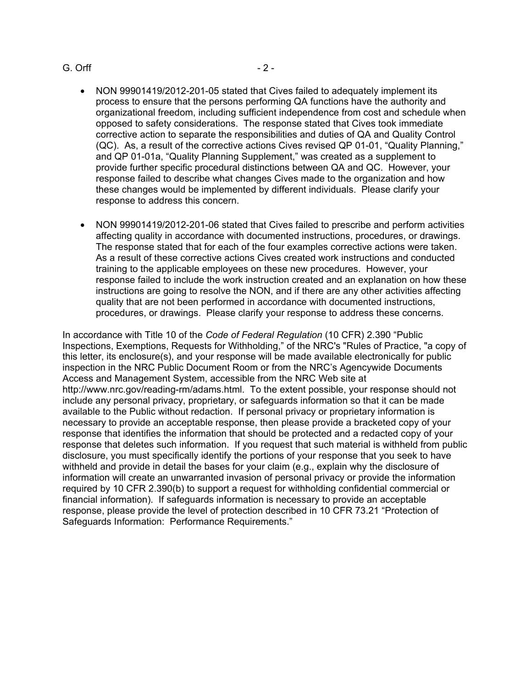## G. Orff - 2 -

- NON 99901419/2012-201-05 stated that Cives failed to adequately implement its process to ensure that the persons performing QA functions have the authority and organizational freedom, including sufficient independence from cost and schedule when opposed to safety considerations. The response stated that Cives took immediate corrective action to separate the responsibilities and duties of QA and Quality Control (QC). As, a result of the corrective actions Cives revised QP 01-01, "Quality Planning," and QP 01-01a, "Quality Planning Supplement," was created as a supplement to provide further specific procedural distinctions between QA and QC. However, your response failed to describe what changes Cives made to the organization and how these changes would be implemented by different individuals. Please clarify your response to address this concern.
- NON 99901419/2012-201-06 stated that Cives failed to prescribe and perform activities affecting quality in accordance with documented instructions, procedures, or drawings. The response stated that for each of the four examples corrective actions were taken. As a result of these corrective actions Cives created work instructions and conducted training to the applicable employees on these new procedures. However, your response failed to include the work instruction created and an explanation on how these instructions are going to resolve the NON, and if there are any other activities affecting quality that are not been performed in accordance with documented instructions, procedures, or drawings. Please clarify your response to address these concerns.

In accordance with Title 10 of the *Code of Federal Regulation* (10 CFR) 2.390 "Public Inspections, Exemptions, Requests for Withholding," of the NRC's "Rules of Practice, "a copy of this letter, its enclosure(s), and your response will be made available electronically for public inspection in the NRC Public Document Room or from the NRC's Agencywide Documents Access and Management System, accessible from the NRC Web site at http://www.nrc.gov/reading-rm/adams.html. To the extent possible, your response should not include any personal privacy, proprietary, or safeguards information so that it can be made available to the Public without redaction. If personal privacy or proprietary information is necessary to provide an acceptable response, then please provide a bracketed copy of your response that identifies the information that should be protected and a redacted copy of your response that deletes such information. If you request that such material is withheld from public disclosure, you must specifically identify the portions of your response that you seek to have withheld and provide in detail the bases for your claim (e.g., explain why the disclosure of information will create an unwarranted invasion of personal privacy or provide the information required by 10 CFR 2.390(b) to support a request for withholding confidential commercial or financial information). If safeguards information is necessary to provide an acceptable response, please provide the level of protection described in 10 CFR 73.21 "Protection of Safeguards Information: Performance Requirements."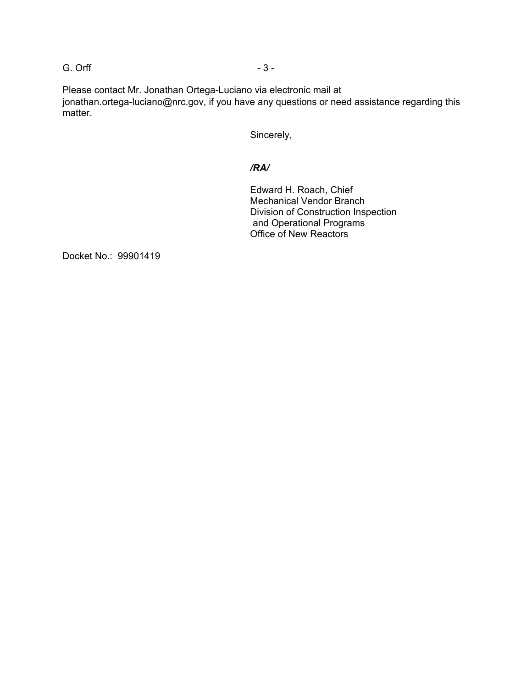G. Orff  $-3 -$ 

Please contact Mr. Jonathan Ortega-Luciano via electronic mail at jonathan.ortega-luciano@nrc.gov, if you have any questions or need assistance regarding this matter.

Sincerely,

## */RA/*

Edward H. Roach, Chief Mechanical Vendor Branch Division of Construction Inspection and Operational Programs Office of New Reactors

Docket No.: 99901419